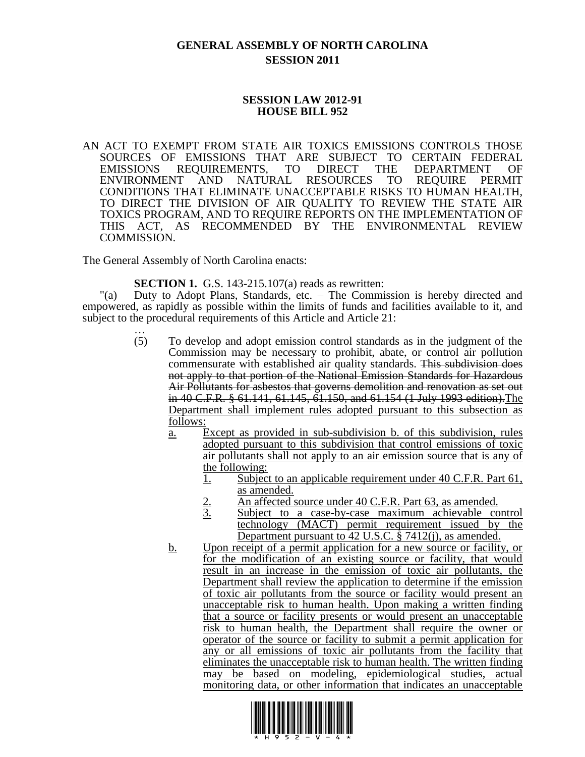## **GENERAL ASSEMBLY OF NORTH CAROLINA SESSION 2011**

## **SESSION LAW 2012-91 HOUSE BILL 952**

AN ACT TO EXEMPT FROM STATE AIR TOXICS EMISSIONS CONTROLS THOSE SOURCES OF EMISSIONS THAT ARE SUBJECT TO CERTAIN FEDERAL EMISSIONS REQUIREMENTS, TO DIRECT THE DEPARTMENT OF ENVIRONMENT AND NATURAL RESOURCES TO REQUIRE PERMIT CONDITIONS THAT ELIMINATE UNACCEPTABLE RISKS TO HUMAN HEALTH, TO DIRECT THE DIVISION OF AIR QUALITY TO REVIEW THE STATE AIR TOXICS PROGRAM, AND TO REQUIRE REPORTS ON THE IMPLEMENTATION OF THIS ACT, AS RECOMMENDED BY THE ENVIRONMENTAL REVIEW COMMISSION.

The General Assembly of North Carolina enacts:

**SECTION 1.** G.S. 143-215.107(a) reads as rewritten:

"(a) Duty to Adopt Plans, Standards, etc. – The Commission is hereby directed and empowered, as rapidly as possible within the limits of funds and facilities available to it, and subject to the procedural requirements of this Article and Article 21:

- … (5) To develop and adopt emission control standards as in the judgment of the Commission may be necessary to prohibit, abate, or control air pollution commensurate with established air quality standards. This subdivision does not apply to that portion of the National Emission Standards for Hazardous Air Pollutants for asbestos that governs demolition and renovation as set out in 40 C.F.R. § 61.141, 61.145, 61.150, and 61.154 (1 July 1993 edition).The Department shall implement rules adopted pursuant to this subsection as follows:
	- a. Except as provided in sub-subdivision b. of this subdivision, rules adopted pursuant to this subdivision that control emissions of toxic air pollutants shall not apply to an air emission source that is any of the following:
		- 1. Subject to an applicable requirement under 40 C.F.R. Part 61, as amended.
		- 2. An affected source under 40 C.F.R. Part 63, as amended.<br>3. Subject to a case-by-case maximum achievable co
		- Subject to a case-by-case maximum achievable control technology (MACT) permit requirement issued by the Department pursuant to 42 U.S.C. § 7412(j), as amended.
	- b. Upon receipt of a permit application for a new source or facility, or for the modification of an existing source or facility, that would result in an increase in the emission of toxic air pollutants, the Department shall review the application to determine if the emission of toxic air pollutants from the source or facility would present an unacceptable risk to human health. Upon making a written finding that a source or facility presents or would present an unacceptable risk to human health, the Department shall require the owner or operator of the source or facility to submit a permit application for any or all emissions of toxic air pollutants from the facility that eliminates the unacceptable risk to human health. The written finding may be based on modeling, epidemiological studies, actual monitoring data, or other information that indicates an unacceptable